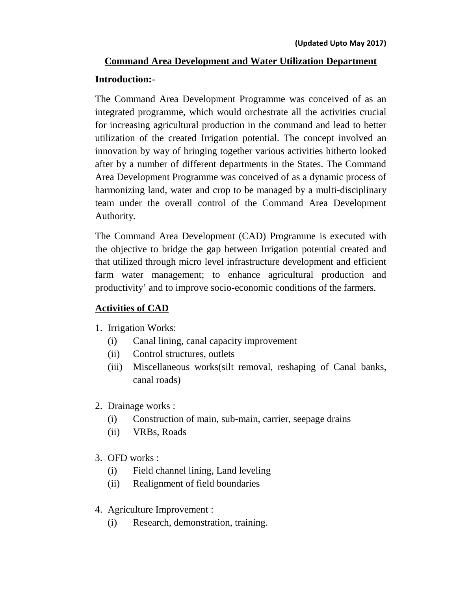# **Command Area Development and Water Utilization Department Introduction:-**

The Command Area Development Programme was conceived of as an integrated programme, which would orchestrate all the activities crucial for increasing agricultural production in the command and lead to better utilization of the created Irrigation potential. The concept involved an innovation by way of bringing together various activities hitherto looked after by a number of different departments in the States. The Command Area Development Programme was conceived of as a dynamic process of harmonizing land, water and crop to be managed by a multi-disciplinary team under the overall control of the Command Area Development Authority.

The Command Area Development (CAD) Programme is executed with the objective to bridge the gap between Irrigation potential created and that utilized through micro level infrastructure development and efficient farm water management; to enhance agricultural production and productivity' and to improve socio-economic conditions of the farmers.

## **Activities of CAD**

- 1. Irrigation Works:
	- (i) Canal lining, canal capacity improvement
	- (ii) Control structures, outlets
	- (iii) Miscellaneous works(silt removal, reshaping of Canal banks, canal roads)
- 2. Drainage works :
	- (i) Construction of main, sub-main, carrier, seepage drains
	- (ii) VRBs, Roads
- 3. OFD works :
	- (i) Field channel lining, Land leveling
	- (ii) Realignment of field boundaries
- 4. Agriculture Improvement :
	- (i) Research, demonstration, training.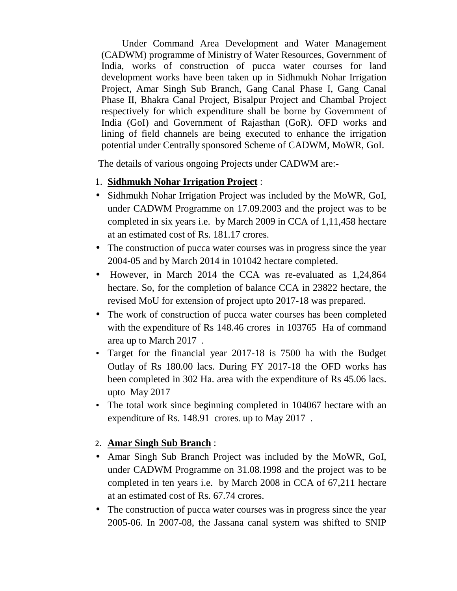Under Command Area Development and Water Management (CADWM) programme of Ministry of Water Resources, Government of India, works of construction of pucca water courses for land development works have been taken up in Sidhmukh Nohar Irrigation Project, Amar Singh Sub Branch, Gang Canal Phase I, Gang Canal Phase II, Bhakra Canal Project, Bisalpur Project and Chambal Project respectively for which expenditure shall be borne by Government of India (GoI) and Government of Rajasthan (GoR). OFD works and lining of field channels are being executed to enhance the irrigation potential under Centrally sponsored Scheme of CADWM, MoWR, GoI.

The details of various ongoing Projects under CADWM are:-

- 1. **Sidhmukh Nohar Irrigation Project** :
- Sidhmukh Nohar Irrigation Project was included by the MoWR, GoI, under CADWM Programme on 17.09.2003 and the project was to be completed in six years i.e. by March 2009 in CCA of 1,11,458 hectare at an estimated cost of Rs. 181.17 crores.
- The construction of pucca water courses was in progress since the year 2004-05 and by March 2014 in 101042 hectare completed.
- However, in March 2014 the CCA was re-evaluated as 1,24,864 hectare. So, for the completion of balance CCA in 23822 hectare, the revised MoU for extension of project upto 2017-18 was prepared.
- The work of construction of pucca water courses has been completed with the expenditure of Rs 148.46 crores in 103765 Ha of command area up to March 2017 .
- Target for the financial year 2017-18 is 7500 ha with the Budget Outlay of Rs 180.00 lacs. During FY 2017-18 the OFD works has been completed in 302 Ha. area with the expenditure of Rs 45.06 lacs. upto May 2017
- The total work since beginning completed in 104067 hectare with an expenditure of Rs. 148.91 crores. up to May 2017 .

### 2. **Amar Singh Sub Branch** :

- Amar Singh Sub Branch Project was included by the MoWR, GoI, under CADWM Programme on 31.08.1998 and the project was to be completed in ten years i.e. by March 2008 in CCA of 67,211 hectare at an estimated cost of Rs. 67.74 crores.
- The construction of pucca water courses was in progress since the year 2005-06. In 2007-08, the Jassana canal system was shifted to SNIP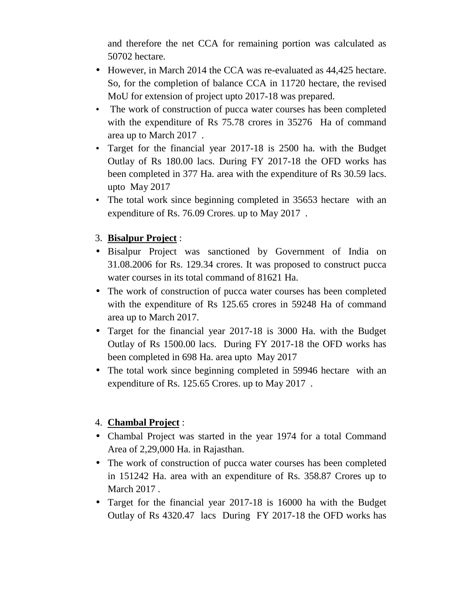and therefore the net CCA for remaining portion was calculated as 50702 hectare.

- However, in March 2014 the CCA was re-evaluated as 44,425 hectare. So, for the completion of balance CCA in 11720 hectare, the revised MoU for extension of project upto 2017-18 was prepared.
- The work of construction of pucca water courses has been completed with the expenditure of Rs 75.78 crores in 35276 Ha of command area up to March 2017 .
- Target for the financial year 2017-18 is 2500 ha. with the Budget Outlay of Rs 180.00 lacs. During FY 2017-18 the OFD works has been completed in 377 Ha. area with the expenditure of Rs 30.59 lacs. upto May 2017
- The total work since beginning completed in 35653 hectare with an expenditure of Rs. 76.09 Crores. up to May 2017 .

## 3. **Bisalpur Project** :

- Bisalpur Project was sanctioned by Government of India on 31.08.2006 for Rs. 129.34 crores. It was proposed to construct pucca water courses in its total command of 81621 Ha.
- The work of construction of pucca water courses has been completed with the expenditure of Rs 125.65 crores in 59248 Ha of command area up to March 2017.
- Target for the financial year 2017-18 is 3000 Ha. with the Budget Outlay of Rs 1500.00 lacs. During FY 2017-18 the OFD works has been completed in 698 Ha. area upto May 2017
- The total work since beginning completed in 59946 hectare with an expenditure of Rs. 125.65 Crores. up to May 2017 .

### 4. **Chambal Project** :

- Chambal Project was started in the year 1974 for a total Command Area of 2,29,000 Ha. in Rajasthan.
- The work of construction of pucca water courses has been completed in 151242 Ha. area with an expenditure of Rs. 358.87 Crores up to March 2017 .
- Target for the financial year 2017-18 is 16000 ha with the Budget Outlay of Rs 4320.47 lacs During FY 2017-18 the OFD works has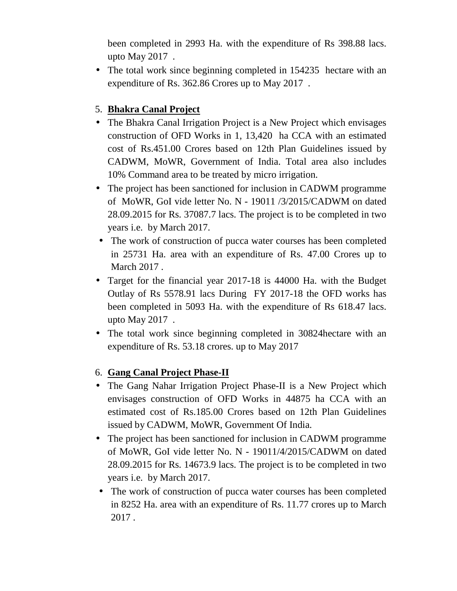been completed in 2993 Ha. with the expenditure of Rs 398.88 lacs. upto May 2017 .

• The total work since beginning completed in 154235 hectare with an expenditure of Rs. 362.86 Crores up to May 2017 .

## 5. **Bhakra Canal Project**

- The Bhakra Canal Irrigation Project is a New Project which envisages construction of OFD Works in 1, 13,420 ha CCA with an estimated cost of Rs.451.00 Crores based on 12th Plan Guidelines issued by CADWM, MoWR, Government of India. Total area also includes 10% Command area to be treated by micro irrigation.
- The project has been sanctioned for inclusion in CADWM programme of MoWR, GoI vide letter No. N - 19011 /3/2015/CADWM on dated 28.09.2015 for Rs. 37087.7 lacs. The project is to be completed in two years i.e. by March 2017.
- The work of construction of pucca water courses has been completed in 25731 Ha. area with an expenditure of Rs. 47.00 Crores up to March 2017 .
- Target for the financial year 2017-18 is 44000 Ha. with the Budget Outlay of Rs 5578.91 lacs During FY 2017-18 the OFD works has been completed in 5093 Ha. with the expenditure of Rs 618.47 lacs. upto May 2017 .
- The total work since beginning completed in 30824 hectare with an expenditure of Rs. 53.18 crores. up to May 2017

### 6. **Gang Canal Project Phase-II**

- The Gang Nahar Irrigation Project Phase-II is a New Project which envisages construction of OFD Works in 44875 ha CCA with an estimated cost of Rs.185.00 Crores based on 12th Plan Guidelines issued by CADWM, MoWR, Government Of India.
- The project has been sanctioned for inclusion in CADWM programme of MoWR, GoI vide letter No. N - 19011/4/2015/CADWM on dated 28.09.2015 for Rs. 14673.9 lacs. The project is to be completed in two years i.e. by March 2017.
- The work of construction of pucca water courses has been completed in 8252 Ha. area with an expenditure of Rs. 11.77 crores up to March 2017 .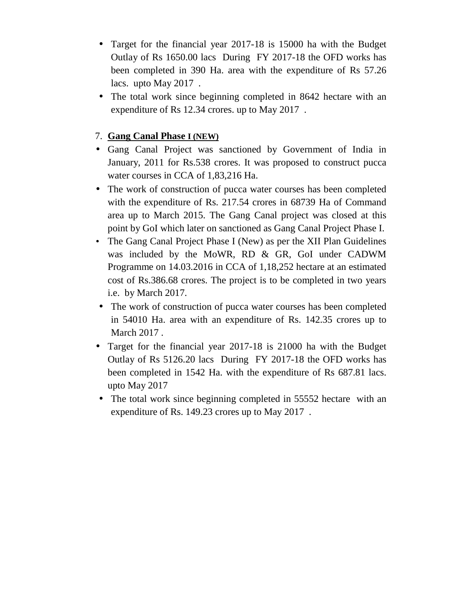- Target for the financial year 2017-18 is 15000 ha with the Budget Outlay of Rs 1650.00 lacs During FY 2017-18 the OFD works has been completed in 390 Ha. area with the expenditure of Rs 57.26 lacs. upto May 2017 .
- The total work since beginning completed in 8642 hectare with an expenditure of Rs 12.34 crores. up to May 2017 .

#### 7. **Gang Canal Phase I (NEW)**

- Gang Canal Project was sanctioned by Government of India in January, 2011 for Rs.538 crores. It was proposed to construct pucca water courses in CCA of 1,83,216 Ha.
- The work of construction of pucca water courses has been completed with the expenditure of Rs. 217.54 crores in 68739 Ha of Command area up to March 2015. The Gang Canal project was closed at this point by GoI which later on sanctioned as Gang Canal Project Phase I.
- The Gang Canal Project Phase I (New) as per the XII Plan Guidelines was included by the MoWR, RD & GR, GoI under CADWM Programme on 14.03.2016 in CCA of 1,18,252 hectare at an estimated cost of Rs.386.68 crores. The project is to be completed in two years i.e. by March 2017.
- The work of construction of pucca water courses has been completed in 54010 Ha. area with an expenditure of Rs. 142.35 crores up to March 2017 .
- Target for the financial year 2017-18 is 21000 ha with the Budget Outlay of Rs 5126.20 lacs During FY 2017-18 the OFD works has been completed in 1542 Ha. with the expenditure of Rs 687.81 lacs. upto May 2017
- The total work since beginning completed in 55552 hectare with an expenditure of Rs. 149.23 crores up to May 2017 .